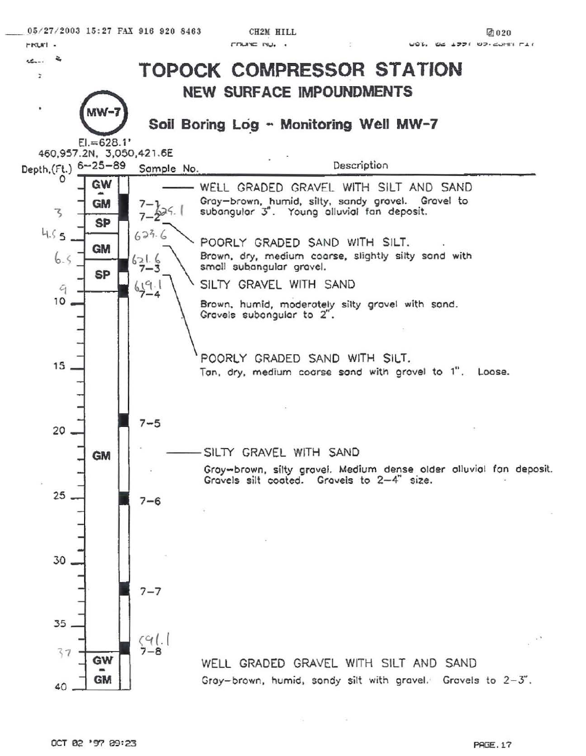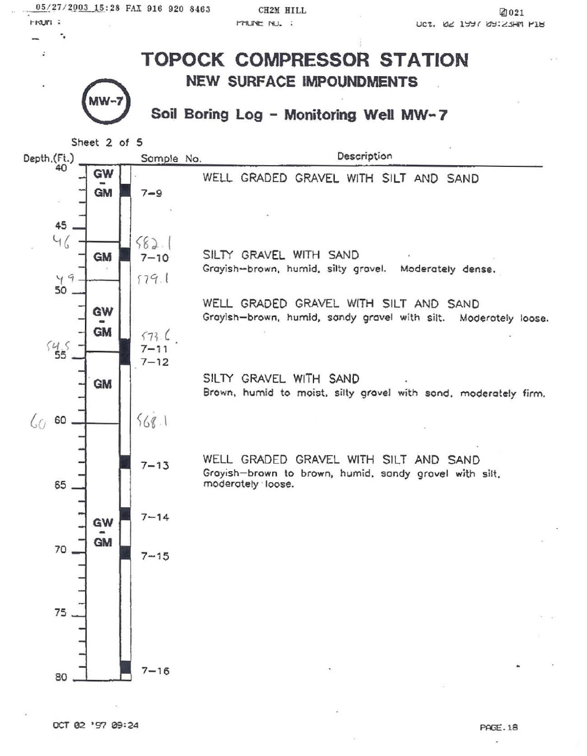05/27/2003 15:28 FAX 916 920 8463 **FRUM:** 

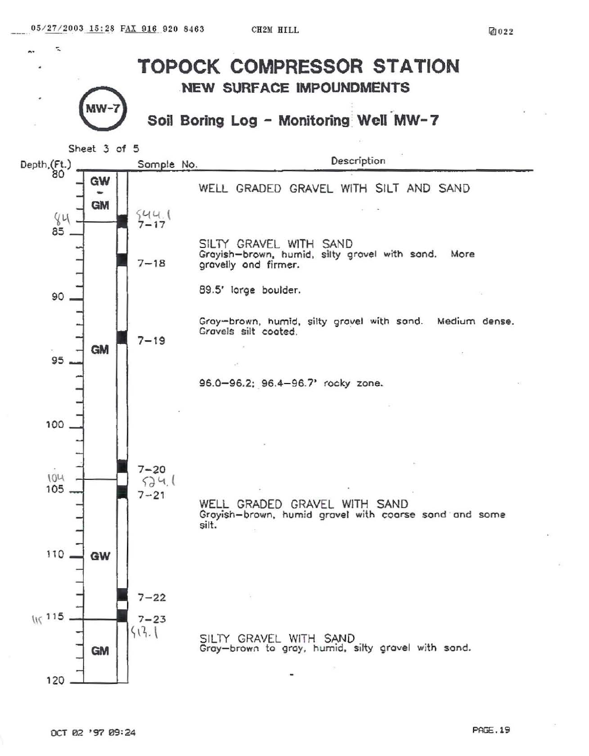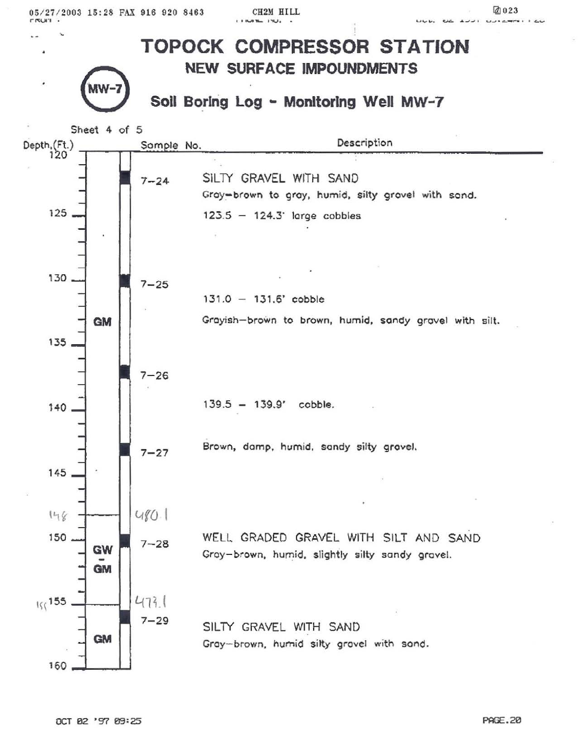05/27/2003 15:28 FAX 916 920 8463 **FRUIT .**